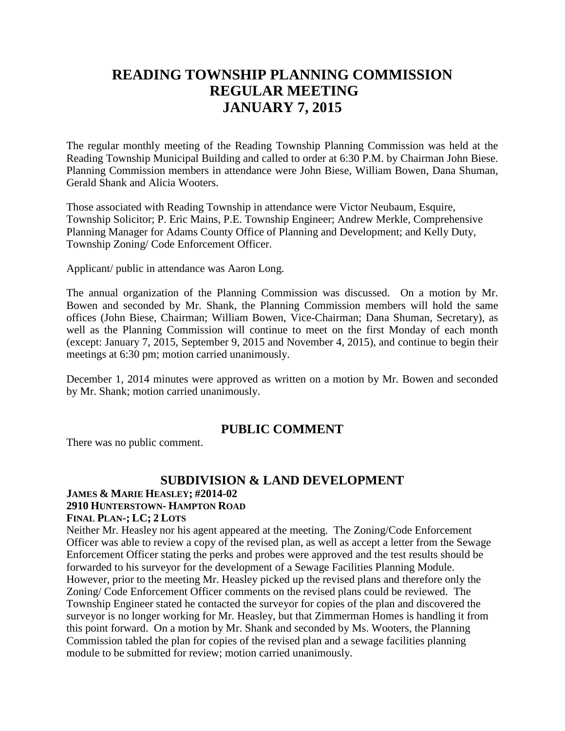# **READING TOWNSHIP PLANNING COMMISSION REGULAR MEETING JANUARY 7, 2015**

The regular monthly meeting of the Reading Township Planning Commission was held at the Reading Township Municipal Building and called to order at 6:30 P.M. by Chairman John Biese. Planning Commission members in attendance were John Biese, William Bowen, Dana Shuman, Gerald Shank and Alicia Wooters.

Those associated with Reading Township in attendance were Victor Neubaum, Esquire, Township Solicitor; P. Eric Mains, P.E. Township Engineer; Andrew Merkle, Comprehensive Planning Manager for Adams County Office of Planning and Development; and Kelly Duty, Township Zoning/ Code Enforcement Officer.

Applicant/ public in attendance was Aaron Long.

The annual organization of the Planning Commission was discussed. On a motion by Mr. Bowen and seconded by Mr. Shank, the Planning Commission members will hold the same offices (John Biese, Chairman; William Bowen, Vice-Chairman; Dana Shuman, Secretary), as well as the Planning Commission will continue to meet on the first Monday of each month (except: January 7, 2015, September 9, 2015 and November 4, 2015), and continue to begin their meetings at 6:30 pm; motion carried unanimously.

December 1, 2014 minutes were approved as written on a motion by Mr. Bowen and seconded by Mr. Shank; motion carried unanimously.

### **PUBLIC COMMENT**

There was no public comment.

## **SUBDIVISION & LAND DEVELOPMENT**

# **JAMES & MARIE HEASLEY; #2014-02**

## **2910 HUNTERSTOWN- HAMPTON ROAD**

#### **FINAL PLAN-; LC; 2 LOTS**

Neither Mr. Heasley nor his agent appeared at the meeting. The Zoning/Code Enforcement Officer was able to review a copy of the revised plan, as well as accept a letter from the Sewage Enforcement Officer stating the perks and probes were approved and the test results should be forwarded to his surveyor for the development of a Sewage Facilities Planning Module. However, prior to the meeting Mr. Heasley picked up the revised plans and therefore only the Zoning/ Code Enforcement Officer comments on the revised plans could be reviewed. The Township Engineer stated he contacted the surveyor for copies of the plan and discovered the surveyor is no longer working for Mr. Heasley, but that Zimmerman Homes is handling it from this point forward. On a motion by Mr. Shank and seconded by Ms. Wooters, the Planning Commission tabled the plan for copies of the revised plan and a sewage facilities planning module to be submitted for review; motion carried unanimously.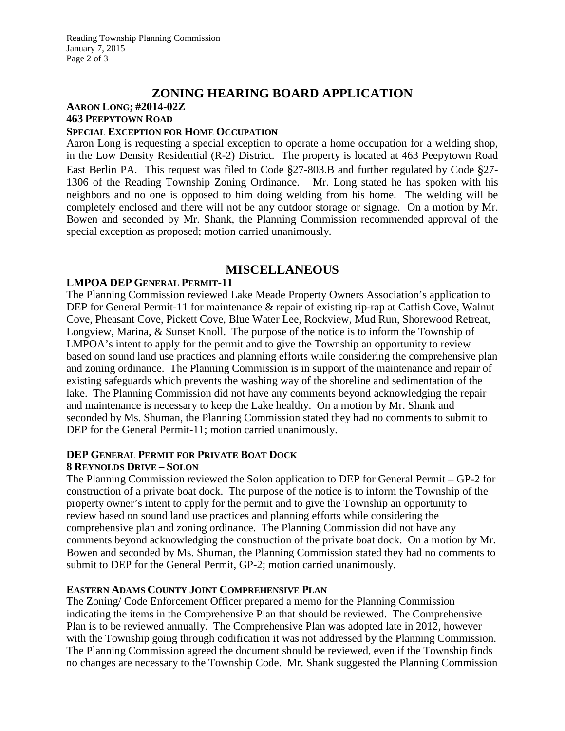## **ZONING HEARING BOARD APPLICATION**

# **AARON LONG; #2014-02Z 463 PEEPYTOWN ROAD**

### **SPECIAL EXCEPTION FOR HOME OCCUPATION**

Aaron Long is requesting a special exception to operate a home occupation for a welding shop, in the Low Density Residential (R-2) District. The property is located at 463 Peepytown Road East Berlin PA. This request was filed to Code §27-803.B and further regulated by Code §27- 1306 of the Reading Township Zoning Ordinance. Mr. Long stated he has spoken with his neighbors and no one is opposed to him doing welding from his home. The welding will be completely enclosed and there will not be any outdoor storage or signage. On a motion by Mr. Bowen and seconded by Mr. Shank, the Planning Commission recommended approval of the special exception as proposed; motion carried unanimously.

## **MISCELLANEOUS**

#### **LMPOA DEP GENERAL PERMIT-11**

The Planning Commission reviewed Lake Meade Property Owners Association's application to DEP for General Permit-11 for maintenance & repair of existing rip-rap at Catfish Cove, Walnut Cove, Pheasant Cove, Pickett Cove, Blue Water Lee, Rockview, Mud Run, Shorewood Retreat, Longview, Marina, & Sunset Knoll. The purpose of the notice is to inform the Township of LMPOA's intent to apply for the permit and to give the Township an opportunity to review based on sound land use practices and planning efforts while considering the comprehensive plan and zoning ordinance. The Planning Commission is in support of the maintenance and repair of existing safeguards which prevents the washing way of the shoreline and sedimentation of the lake. The Planning Commission did not have any comments beyond acknowledging the repair and maintenance is necessary to keep the Lake healthy. On a motion by Mr. Shank and seconded by Ms. Shuman, the Planning Commission stated they had no comments to submit to DEP for the General Permit-11; motion carried unanimously.

#### **DEP GENERAL PERMIT FOR PRIVATE BOAT DOCK 8 REYNOLDS DRIVE – SOLON**

The Planning Commission reviewed the Solon application to DEP for General Permit – GP-2 for construction of a private boat dock. The purpose of the notice is to inform the Township of the property owner's intent to apply for the permit and to give the Township an opportunity to review based on sound land use practices and planning efforts while considering the comprehensive plan and zoning ordinance. The Planning Commission did not have any comments beyond acknowledging the construction of the private boat dock. On a motion by Mr. Bowen and seconded by Ms. Shuman, the Planning Commission stated they had no comments to submit to DEP for the General Permit, GP-2; motion carried unanimously.

#### **EASTERN ADAMS COUNTY JOINT COMPREHENSIVE PLAN**

The Zoning/ Code Enforcement Officer prepared a memo for the Planning Commission indicating the items in the Comprehensive Plan that should be reviewed. The Comprehensive Plan is to be reviewed annually. The Comprehensive Plan was adopted late in 2012, however with the Township going through codification it was not addressed by the Planning Commission. The Planning Commission agreed the document should be reviewed, even if the Township finds no changes are necessary to the Township Code. Mr. Shank suggested the Planning Commission